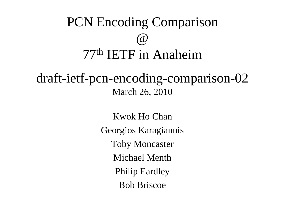

draft-ietf-pcn-encoding-comparison-02March 26, 2010

> Kwok Ho ChanGeorgios KaragiannisToby MoncasterMichael MenthPhilip EardleyBob Briscoe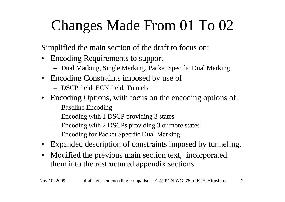## Changes Made From 01 To 02

Simplified the main section of the draft to focus on:

- • Encoding Requirements to support
	- Dual Marking, Single Marking, Packet Specific Dual Marking
- Encoding Constraints imposed by use of
	- DSCP field, ECN field, Tunnels
- Encoding Options, with focus on the encoding options of:
	- Baseline Encoding
	- Encoding with 1 DSCP providing 3 states
	- Encoding with 2 DSCPs providing 3 or more states
	- Encoding for Packet Specific Dual Marking
- Expanded description of constraints imposed by tunneling.
- Modified the previous main section text, incorporated them into the restructured appendix sections